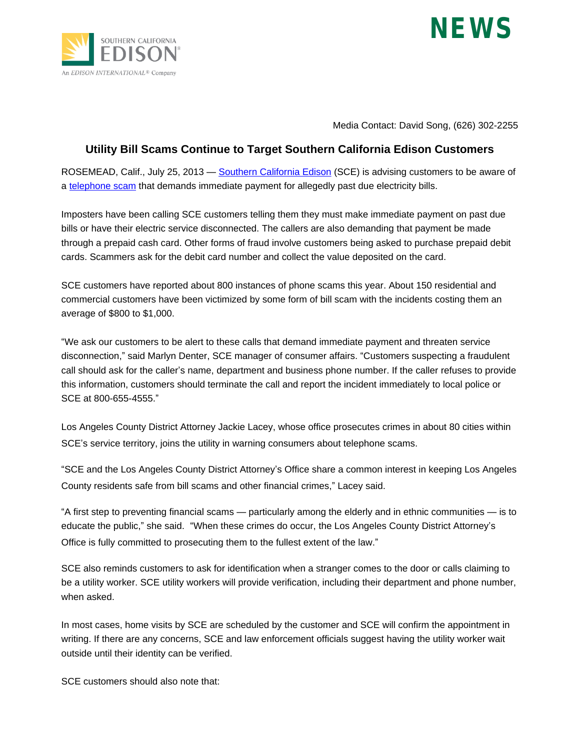



Media Contact: David Song, (626) 302-2255

## **Utility Bill Scams Continue to Target Southern California Edison Customers**

ROSEMEAD, Calif., July 25, 2013 — [Southern California Edison](http://www.SCE.com) (SCE) is advising customers to be aware of a [telephone scam](https://www.sce.com/wps/portal/home/customer-service/faqs/!ut/p/b1/pVNNU8IwEP0revCYybZJ2_RYEPuBolhA6aUTmgTr2FJsQf33BmRGGUc-JKfdzO6b997u4gQ_4qTky3zKm3xW8pdVntipwXwvCGMIWZdQCFu0M7htm-BQQxeMdQH88TxY97s-dILoFkJ_0CcQkj70Ys8jADZ-wAlOsrKpmic8rjOZZrOykWWTyvICNrEOFnUzK-TrWb2oqtmr_lF8Xq9aKz6VQtb5tFxnWS7w2Ha5azKbIamEi6gyTcRACMQcldlEuBMiJhviO5htC78eOVq4H_dHdyMIbsimf0fBHuPWwvdYt8-8XqBNwWPNxPmTydDE8bc1hiJcKmohoEIiKhyKmGAWUopzYWaESnD3AHasUwH94cDTgJctI7gJgWkhxwJGB0wnf57PE08v12qJ3hv8ePB2_TJge3ht-Mn3oGXbDdi1TwWEuLUCjKDPjDvDu7KOBowOOPT_O7q516oYFuxZda_te9brIT5hQKyXZVGkX9nHm3f-CTj0NzM!/dl4/d5/L2dBISEvZ0FBIS9nQSEh/) that demands immediate payment for allegedly past due electricity bills.

Imposters have been calling SCE customers telling them they must make immediate payment on past due bills or have their electric service disconnected. The callers are also demanding that payment be made through a prepaid cash card. Other forms of fraud involve customers being asked to purchase prepaid debit cards. Scammers ask for the debit card number and collect the value deposited on the card.

SCE customers have reported about 800 instances of phone scams this year. About 150 residential and commercial customers have been victimized by some form of bill scam with the incidents costing them an average of \$800 to \$1,000.

"We ask our customers to be alert to these calls that demand immediate payment and threaten service disconnection," said Marlyn Denter, SCE manager of consumer affairs. "Customers suspecting a fraudulent call should ask for the caller's name, department and business phone number. If the caller refuses to provide this information, customers should terminate the call and report the incident immediately to local police or SCE at 800-655-4555."

Los Angeles County District Attorney Jackie Lacey, whose office prosecutes crimes in about 80 cities within SCE's service territory, joins the utility in warning consumers about telephone scams.

"SCE and the Los Angeles County District Attorney's Office share a common interest in keeping Los Angeles County residents safe from bill scams and other financial crimes," Lacey said.

"A first step to preventing financial scams — particularly among the elderly and in ethnic communities — is to educate the public," she said. "When these crimes do occur, the Los Angeles County District Attorney's Office is fully committed to prosecuting them to the fullest extent of the law."

SCE also reminds customers to ask for identification when a stranger comes to the door or calls claiming to be a utility worker. SCE utility workers will provide verification, including their department and phone number, when asked.

In most cases, home visits by SCE are scheduled by the customer and SCE will confirm the appointment in writing. If there are any concerns, SCE and law enforcement officials suggest having the utility worker wait outside until their identity can be verified.

SCE customers should also note that: